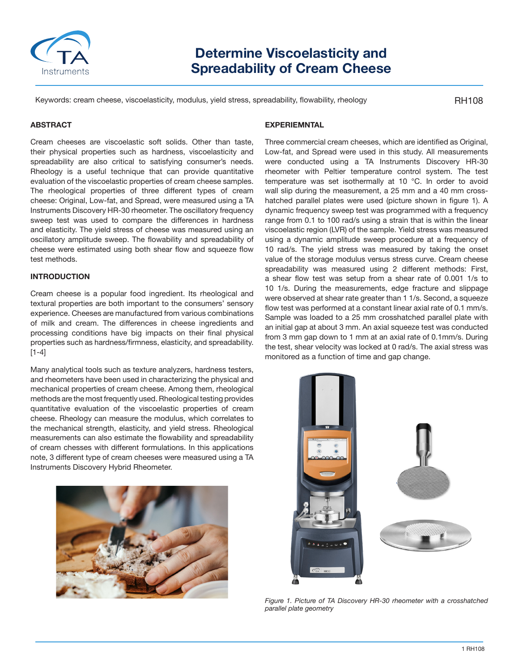

# **Determine Viscoelasticity and Spreadability of Cream Cheese**

Keywords: cream cheese, viscoelasticity, modulus, yield stress, spreadability, flowability, rheology

RH108

# **ABSTRACT**

Cream cheeses are viscoelastic soft solids. Other than taste, their physical properties such as hardness, viscoelasticity and spreadability are also critical to satisfying consumer's needs. Rheology is a useful technique that can provide quantitative evaluation of the viscoelastic properties of cream cheese samples. The rheological properties of three different types of cream cheese: Original, Low-fat, and Spread, were measured using a TA Instruments Discovery HR-30 rheometer. The oscillatory frequency sweep test was used to compare the differences in hardness and elasticity. The yield stress of cheese was measured using an oscillatory amplitude sweep. The flowability and spreadability of cheese were estimated using both shear flow and squeeze flow test methods.

## **INTRODUCTION**

Cream cheese is a popular food ingredient. Its rheological and textural properties are both important to the consumers' sensory experience. Cheeses are manufactured from various combinations of milk and cream. The differences in cheese ingredients and processing conditions have big impacts on their final physical properties such as hardness/firmness, elasticity, and spreadability.  $[1-4]$ 

Many analytical tools such as texture analyzers, hardness testers, and rheometers have been used in characterizing the physical and mechanical properties of cream cheese. Among them, rheological methods are the most frequently used. Rheological testing provides quantitative evaluation of the viscoelastic properties of cream cheese. Rheology can measure the modulus, which correlates to the mechanical strength, elasticity, and yield stress. Rheological measurements can also estimate the flowability and spreadability of cream chesses with different formulations. In this applications note, 3 different type of cream cheeses were measured using a TA Instruments Discovery Hybrid Rheometer.



# **EXPERIEMNTAL**

Three commercial cream cheeses, which are identified as Original, Low-fat, and Spread were used in this study. All measurements were conducted using a TA Instruments Discovery HR-30 rheometer with Peltier temperature control system. The test temperature was set isothermally at 10 °C. In order to avoid wall slip during the measurement, a 25 mm and a 40 mm crosshatched parallel plates were used (picture shown in figure 1). A dynamic frequency sweep test was programmed with a frequency range from 0.1 to 100 rad/s using a strain that is within the linear viscoelastic region (LVR) of the sample. Yield stress was measured using a dynamic amplitude sweep procedure at a frequency of 10 rad/s. The yield stress was measured by taking the onset value of the storage modulus versus stress curve. Cream cheese spreadability was measured using 2 different methods: First, a shear flow test was setup from a shear rate of 0.001 1/s to 10 1/s. During the measurements, edge fracture and slippage were observed at shear rate greater than 1 1/s. Second, a squeeze flow test was performed at a constant linear axial rate of 0.1 mm/s. Sample was loaded to a 25 mm crosshatched parallel plate with an initial gap at about 3 mm. An axial squeeze test was conducted from 3 mm gap down to 1 mm at an axial rate of 0.1mm/s. During the test, shear velocity was locked at 0 rad/s. The axial stress was monitored as a function of time and gap change.



*Figure 1. Picture of TA Discovery HR-30 rheometer with a crosshatched parallel plate geometry*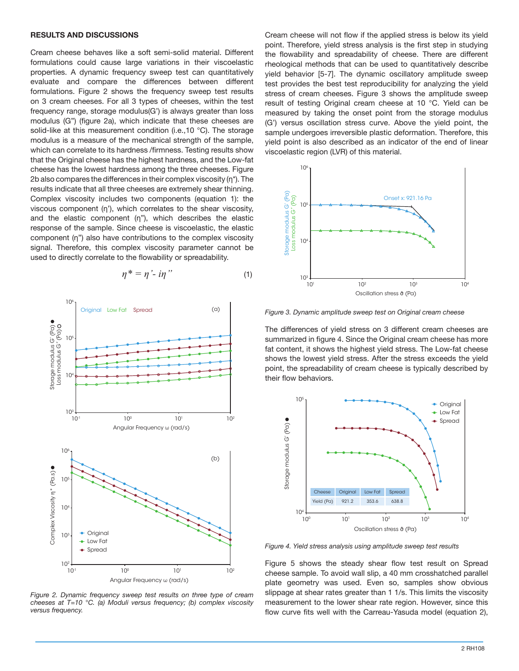#### **RESULTS AND DISCUSSIONS**

Cream cheese behaves like a soft semi-solid material. Different formulations could cause large variations in their viscoelastic properties. A dynamic frequency sweep test can quantitatively evaluate and compare the differences between different formulations. Figure 2 shows the frequency sweep test results on 3 cream cheeses. For all 3 types of cheeses, within the test frequency range, storage modulus(G') is always greater than loss modulus (G") (figure 2a), which indicate that these cheeses are solid-like at this measurement condition (i.e., 10 °C). The storage modulus is a measure of the mechanical strength of the sample, which can correlate to its hardness /firmness. Testing results show that the Original cheese has the highest hardness, and the Low-fat cheese has the lowest hardness among the three cheeses. Figure 2b also compares the differences in their complex viscosity (η\*). The results indicate that all three cheeses are extremely shear thinning. Complex viscosity includes two components (equation 1): the viscous component (η'), which correlates to the shear viscosity, and the elastic component  $(\eta$ "), which describes the elastic response of the sample. Since cheese is viscoelastic, the elastic component (η") also have contributions to the complex viscosity signal. Therefore, this complex viscosity parameter cannot be used to directly correlate to the flowability or spreadability.

$$
\eta^* = \eta' \cdot i\eta'' \tag{1}
$$



*Figure 2. Dynamic frequency sweep test results on three type of cream cheeses at T=10 °C. (a) Moduli versus frequency; (b) complex viscosity versus frequency.*

Cream cheese will not flow if the applied stress is below its yield point. Therefore, yield stress analysis is the first step in studying the flowability and spreadability of cheese. There are different rheological methods that can be used to quantitatively describe yield behavior [5-7]. The dynamic oscillatory amplitude sweep test provides the best test reproducibility for analyzing the yield stress of cream cheeses. Figure 3 shows the amplitude sweep result of testing Original cream cheese at 10 °C. Yield can be measured by taking the onset point from the storage modulus (G') versus oscillation stress curve. Above the yield point, the sample undergoes irreversible plastic deformation. Therefore, this yield point is also described as an indicator of the end of linear viscoelastic region (LVR) of this material.



*Figure 3. Dynamic amplitude sweep test on Original cream cheese*

The differences of yield stress on 3 different cream cheeses are summarized in figure 4. Since the Original cream cheese has more fat content, it shows the highest yield stress. The Low-fat cheese shows the lowest yield stress. After the stress exceeds the yield point, the spreadability of cream cheese is typically described by their flow behaviors.



*Figure 4. Yield stress analysis using amplitude sweep test results*

Figure 5 shows the steady shear flow test result on Spread cheese sample. To avoid wall slip, a 40 mm crosshatched parallel plate geometry was used. Even so, samples show obvious slippage at shear rates greater than 1 1/s. This limits the viscosity measurement to the lower shear rate region. However, since this flow curve fits well with the Carreau-Yasuda model (equation 2),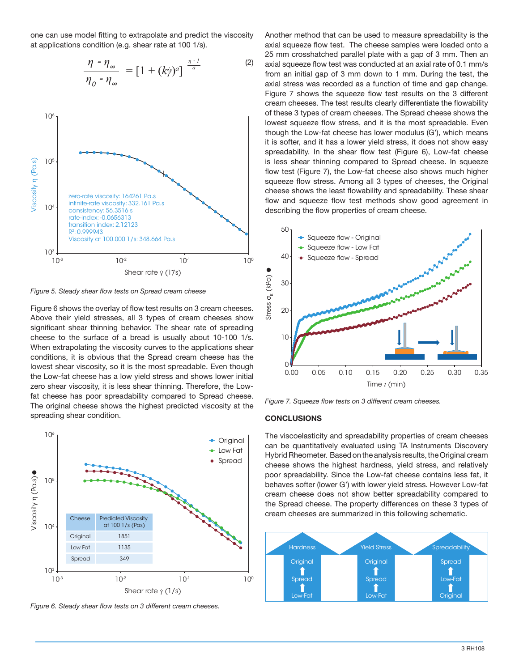one can use model fitting to extrapolate and predict the viscosity at applications condition (e.g. shear rate at 100 1/s).

$$
\frac{\eta - \eta_{\infty}}{\eta_0 - \eta_{\infty}} = \left[1 + (k\dot{\gamma})^a\right]^{\frac{\eta - 1}{a}} \tag{2}
$$



*Figure 5. Steady shear flow tests on Spread cream cheese*

Figure 6 shows the overlay of flow test results on 3 cream cheeses. Above their yield stresses, all 3 types of cream cheeses show significant shear thinning behavior. The shear rate of spreading cheese to the surface of a bread is usually about 10-100 1/s. When extrapolating the viscosity curves to the applications shear conditions, it is obvious that the Spread cream cheese has the lowest shear viscosity, so it is the most spreadable. Even though the Low-fat cheese has a low yield stress and shows lower initial zero shear viscosity, it is less shear thinning. Therefore, the Lowfat cheese has poor spreadability compared to Spread cheese. The original cheese shows the highest predicted viscosity at the spreading shear condition.



*Figure 6. Steady shear flow tests on 3 different cream cheeses.*

Another method that can be used to measure spreadability is the axial squeeze flow test. The cheese samples were loaded onto a 25 mm crosshatched parallel plate with a gap of 3 mm. Then an axial squeeze flow test was conducted at an axial rate of 0.1 mm/s from an initial gap of 3 mm down to 1 mm. During the test, the axial stress was recorded as a function of time and gap change. Figure 7 shows the squeeze flow test results on the 3 different cream cheeses. The test results clearly differentiate the flowability of these 3 types of cream cheeses. The Spread cheese shows the lowest squeeze flow stress, and it is the most spreadable. Even though the Low-fat cheese has lower modulus (G'), which means it is softer, and it has a lower yield stress, it does not show easy spreadability. In the shear flow test (Figure 6), Low-fat cheese is less shear thinning compared to Spread cheese. In squeeze flow test (Figure 7), the Low-fat cheese also shows much higher squeeze flow stress. Among all 3 types of cheeses, the Original cheese shows the least flowability and spreadability. These shear flow and squeeze flow test methods show good agreement in describing the flow properties of cream cheese.



*Figure 7. Squeeze flow tests on 3 different cream cheeses.*

### **CONCLUSIONS**

The viscoelasticity and spreadability properties of cream cheeses can be quantitatively evaluated using TA Instruments Discovery Hybrid Rheometer. Based on the analysis results, the Original cream cheese shows the highest hardness, yield stress, and relatively poor spreadability. Since the Low-fat cheese contains less fat, it behaves softer (lower G') with lower yield stress. However Low-fat cream cheese does not show better spreadability compared to the Spread cheese. The property differences on these 3 types of cream cheeses are summarized in this following schematic.